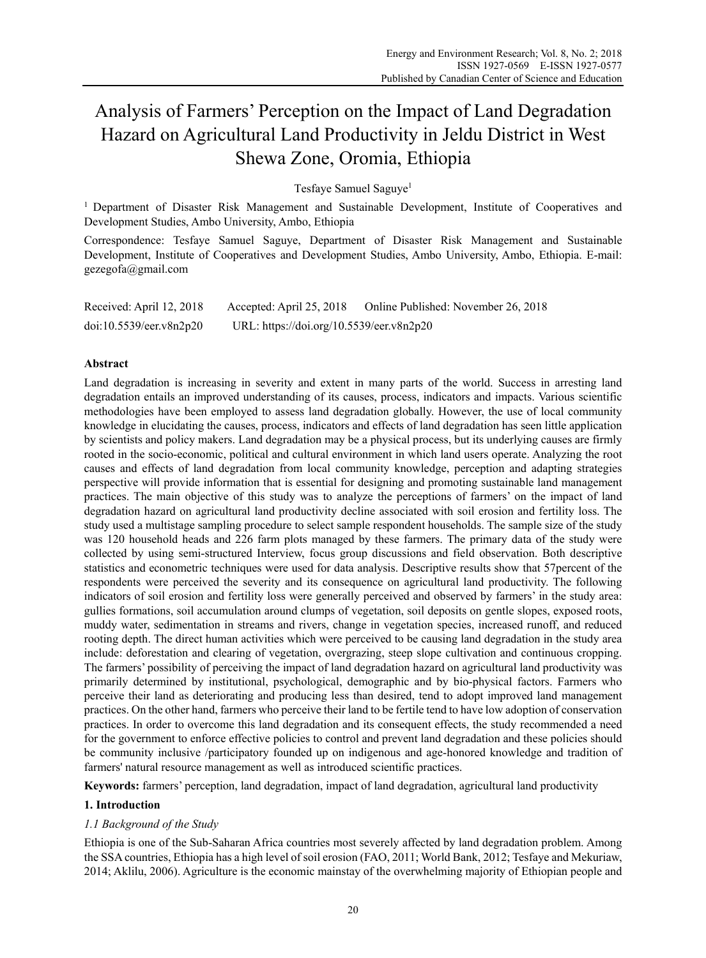# Analysis of Farmers' Perception on the Impact of Land Degradation Hazard on Agricultural Land Productivity in Jeldu District in West Shewa Zone, Oromia, Ethiopia

Tesfaye Samuel Saguye<sup>1</sup>

<sup>1</sup> Department of Disaster Risk Management and Sustainable Development, Institute of Cooperatives and Development Studies, Ambo University, Ambo, Ethiopia

Correspondence: Tesfaye Samuel Saguye, Department of Disaster Risk Management and Sustainable Development, Institute of Cooperatives and Development Studies, Ambo University, Ambo, Ethiopia. E-mail: gezegofa@gmail.com

| Received: April 12, 2018 | Accepted: April 25, 2018                 | Online Published: November 26, 2018 |
|--------------------------|------------------------------------------|-------------------------------------|
| doi:10.5539/eer.v8n2p20  | URL: https://doi.org/10.5539/eer.v8n2p20 |                                     |

## **Abstract**

Land degradation is increasing in severity and extent in many parts of the world. Success in arresting land degradation entails an improved understanding of its causes, process, indicators and impacts. Various scientific methodologies have been employed to assess land degradation globally. However, the use of local community knowledge in elucidating the causes, process, indicators and effects of land degradation has seen little application by scientists and policy makers. Land degradation may be a physical process, but its underlying causes are firmly rooted in the socio-economic, political and cultural environment in which land users operate. Analyzing the root causes and effects of land degradation from local community knowledge, perception and adapting strategies perspective will provide information that is essential for designing and promoting sustainable land management practices. The main objective of this study was to analyze the perceptions of farmers' on the impact of land degradation hazard on agricultural land productivity decline associated with soil erosion and fertility loss. The study used a multistage sampling procedure to select sample respondent households. The sample size of the study was 120 household heads and 226 farm plots managed by these farmers. The primary data of the study were collected by using semi-structured Interview, focus group discussions and field observation. Both descriptive statistics and econometric techniques were used for data analysis. Descriptive results show that 57percent of the respondents were perceived the severity and its consequence on agricultural land productivity. The following indicators of soil erosion and fertility loss were generally perceived and observed by farmers' in the study area: gullies formations, soil accumulation around clumps of vegetation, soil deposits on gentle slopes, exposed roots, muddy water, sedimentation in streams and rivers, change in vegetation species, increased runoff, and reduced rooting depth. The direct human activities which were perceived to be causing land degradation in the study area include: deforestation and clearing of vegetation, overgrazing, steep slope cultivation and continuous cropping. The farmers' possibility of perceiving the impact of land degradation hazard on agricultural land productivity was primarily determined by institutional, psychological, demographic and by bio-physical factors. Farmers who perceive their land as deteriorating and producing less than desired, tend to adopt improved land management practices. On the other hand, farmers who perceive their land to be fertile tend to have low adoption of conservation practices. In order to overcome this land degradation and its consequent effects, the study recommended a need for the government to enforce effective policies to control and prevent land degradation and these policies should be community inclusive /participatory founded up on indigenous and age-honored knowledge and tradition of farmers' natural resource management as well as introduced scientific practices.

**Keywords:** farmers' perception, land degradation, impact of land degradation, agricultural land productivity

## **1. Introduction**

## *1.1 Background of the Study*

Ethiopia is one of the Sub-Saharan Africa countries most severely affected by land degradation problem. Among the SSA countries, Ethiopia has a high level of soil erosion (FAO, 2011; World Bank, 2012; Tesfaye and Mekuriaw, 2014; Aklilu, 2006). Agriculture is the economic mainstay of the overwhelming majority of Ethiopian people and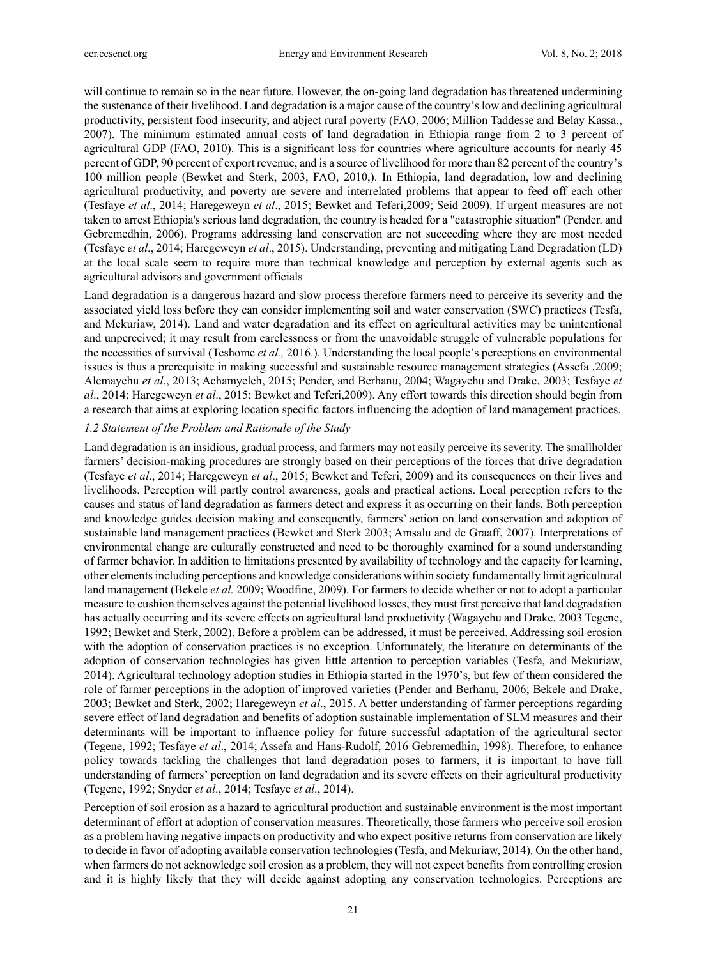will continue to remain so in the near future. However, the on-going land degradation has threatened undermining the sustenance of their livelihood. Land degradation is a major cause of the country's low and declining agricultural productivity, persistent food insecurity, and abject rural poverty (FAO, 2006; Million Taddesse and Belay Kassa., 2007). The minimum estimated annual costs of land degradation in Ethiopia range from 2 to 3 percent of agricultural GDP (FAO, 2010). This is a significant loss for countries where agriculture accounts for nearly 45 percent of GDP, 90 percent of export revenue, and is a source of livelihood for more than 82 percent of the country's 100 million people (Bewket and Sterk, 2003, FAO, 2010,). In Ethiopia, land degradation, low and declining agricultural productivity, and poverty are severe and interrelated problems that appear to feed off each other (Tesfaye *et al*., 2014; Haregeweyn *et al*., 2015; Bewket and Teferi,2009; Seid 2009). If urgent measures are not taken to arrest Ethiopia's serious land degradation, the country is headed for a "catastrophic situation" (Pender. and Gebremedhin, 2006). Programs addressing land conservation are not succeeding where they are most needed (Tesfaye *et al*., 2014; Haregeweyn *et al*., 2015). Understanding, preventing and mitigating Land Degradation (LD) at the local scale seem to require more than technical knowledge and perception by external agents such as agricultural advisors and government officials

Land degradation is a dangerous hazard and slow process therefore farmers need to perceive its severity and the associated yield loss before they can consider implementing soil and water conservation (SWC) practices (Tesfa, and Mekuriaw, 2014). Land and water degradation and its effect on agricultural activities may be unintentional and unperceived; it may result from carelessness or from the unavoidable struggle of vulnerable populations for the necessities of survival (Teshome *et al.,* 2016.). Understanding the local people's perceptions on environmental issues is thus a prerequisite in making successful and sustainable resource management strategies (Assefa ,2009; Alemayehu *et al*., 2013; Achamyeleh, 2015; Pender, and Berhanu, 2004; Wagayehu and Drake, 2003; Tesfaye *et al*., 2014; Haregeweyn *et al*., 2015; Bewket and Teferi,2009). Any effort towards this direction should begin from a research that aims at exploring location specific factors influencing the adoption of land management practices.

#### *1.2 Statement of the Problem and Rationale of the Study*

Land degradation is an insidious, gradual process, and farmers may not easily perceive its severity. The smallholder farmers' decision-making procedures are strongly based on their perceptions of the forces that drive degradation (Tesfaye *et al*., 2014; Haregeweyn *et al*., 2015; Bewket and Teferi, 2009) and its consequences on their lives and livelihoods. Perception will partly control awareness, goals and practical actions. Local perception refers to the causes and status of land degradation as farmers detect and express it as occurring on their lands. Both perception and knowledge guides decision making and consequently, farmers' action on land conservation and adoption of sustainable land management practices (Bewket and Sterk 2003; Amsalu and de Graaff, 2007). Interpretations of environmental change are culturally constructed and need to be thoroughly examined for a sound understanding of farmer behavior. In addition to limitations presented by availability of technology and the capacity for learning, other elements including perceptions and knowledge considerations within society fundamentally limit agricultural land management (Bekele *et al.* 2009; Woodfine, 2009). For farmers to decide whether or not to adopt a particular measure to cushion themselves against the potential livelihood losses, they must first perceive that land degradation has actually occurring and its severe effects on agricultural land productivity (Wagayehu and Drake, 2003 Tegene, 1992; Bewket and Sterk, 2002). Before a problem can be addressed, it must be perceived. Addressing soil erosion with the adoption of conservation practices is no exception. Unfortunately, the literature on determinants of the adoption of conservation technologies has given little attention to perception variables (Tesfa, and Mekuriaw, 2014). Agricultural technology adoption studies in Ethiopia started in the 1970's, but few of them considered the role of farmer perceptions in the adoption of improved varieties (Pender and Berhanu, 2006; Bekele and Drake, 2003; Bewket and Sterk, 2002; Haregeweyn *et al*., 2015. A better understanding of farmer perceptions regarding severe effect of land degradation and benefits of adoption sustainable implementation of SLM measures and their determinants will be important to influence policy for future successful adaptation of the agricultural sector (Tegene, 1992; Tesfaye *et al*., 2014; Assefa and Hans-Rudolf, 2016 Gebremedhin, 1998). Therefore, to enhance policy towards tackling the challenges that land degradation poses to farmers, it is important to have full understanding of farmers' perception on land degradation and its severe effects on their agricultural productivity (Tegene, 1992; Snyder *et al*., 2014; Tesfaye *et al*., 2014).

Perception of soil erosion as a hazard to agricultural production and sustainable environment is the most important determinant of effort at adoption of conservation measures. Theoretically, those farmers who perceive soil erosion as a problem having negative impacts on productivity and who expect positive returns from conservation are likely to decide in favor of adopting available conservation technologies (Tesfa, and Mekuriaw, 2014). On the other hand, when farmers do not acknowledge soil erosion as a problem, they will not expect benefits from controlling erosion and it is highly likely that they will decide against adopting any conservation technologies. Perceptions are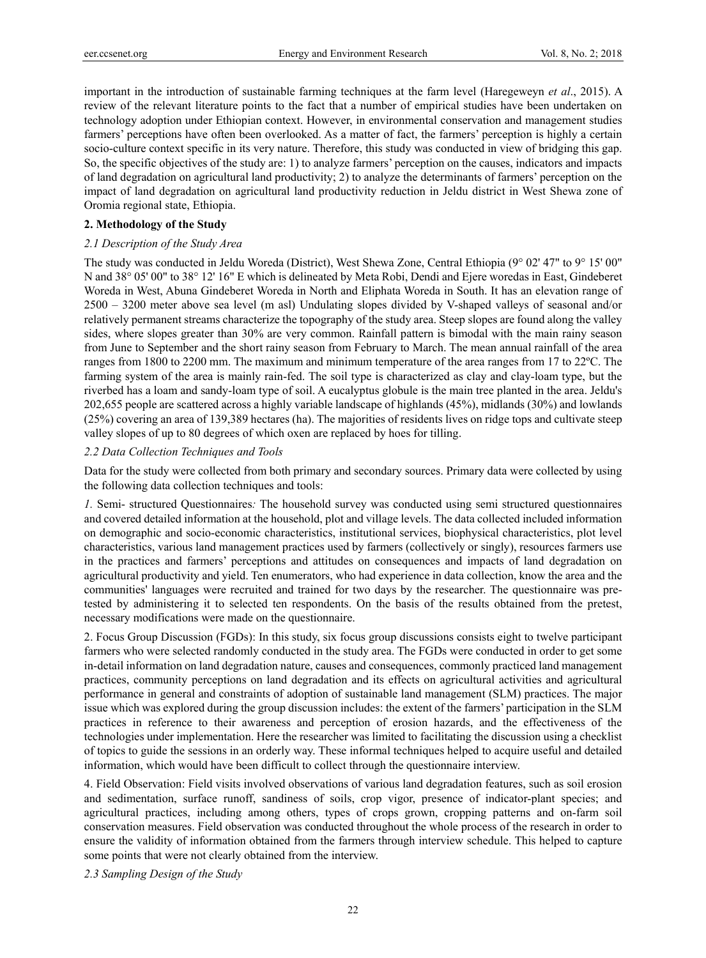important in the introduction of sustainable farming techniques at the farm level (Haregeweyn *et al*., 2015). A review of the relevant literature points to the fact that a number of empirical studies have been undertaken on technology adoption under Ethiopian context. However, in environmental conservation and management studies farmers' perceptions have often been overlooked. As a matter of fact, the farmers' perception is highly a certain socio-culture context specific in its very nature. Therefore, this study was conducted in view of bridging this gap. So, the specific objectives of the study are: 1) to analyze farmers' perception on the causes, indicators and impacts of land degradation on agricultural land productivity; 2) to analyze the determinants of farmers' perception on the impact of land degradation on agricultural land productivity reduction in Jeldu district in West Shewa zone of Oromia regional state, Ethiopia.

## **2. Methodology of the Study**

## *2.1 Description of the Study Area*

The study was conducted in Jeldu Woreda (District), West Shewa Zone, Central Ethiopia (9° 02' 47" to 9° 15' 00" N and 38° 05' 00" to 38° 12' 16" E which is delineated by Meta Robi, Dendi and Ejere woredas in East, Gindeberet Woreda in West, Abuna Gindeberet Woreda in North and Eliphata Woreda in South. It has an elevation range of 2500 – 3200 meter above sea level (m asl) Undulating slopes divided by V-shaped valleys of seasonal and/or relatively permanent streams characterize the topography of the study area. Steep slopes are found along the valley sides, where slopes greater than 30% are very common. Rainfall pattern is bimodal with the main rainy season from June to September and the short rainy season from February to March. The mean annual rainfall of the area ranges from 1800 to 2200 mm. The maximum and minimum temperature of the area ranges from 17 to 22ºC. The farming system of the area is mainly rain-fed. The soil type is characterized as clay and clay-loam type, but the riverbed has a loam and sandy-loam type of soil. A eucalyptus globule is the main tree planted in the area. Jeldu's 202,655 people are scattered across a highly variable landscape of highlands (45%), midlands (30%) and lowlands (25%) covering an area of 139,389 hectares (ha). The majorities of residents lives on ridge tops and cultivate steep valley slopes of up to 80 degrees of which oxen are replaced by hoes for tilling.

## *2.2 Data Collection Techniques and Tools*

Data for the study were collected from both primary and secondary sources. Primary data were collected by using the following data collection techniques and tools:

*1.* Semi- structured Questionnaires*:* The household survey was conducted using semi structured questionnaires and covered detailed information at the household, plot and village levels. The data collected included information on demographic and socio-economic characteristics, institutional services, biophysical characteristics, plot level characteristics, various land management practices used by farmers (collectively or singly), resources farmers use in the practices and farmers' perceptions and attitudes on consequences and impacts of land degradation on agricultural productivity and yield. Ten enumerators, who had experience in data collection, know the area and the communities' languages were recruited and trained for two days by the researcher. The questionnaire was pretested by administering it to selected ten respondents. On the basis of the results obtained from the pretest, necessary modifications were made on the questionnaire.

2. Focus Group Discussion (FGDs): In this study, six focus group discussions consists eight to twelve participant farmers who were selected randomly conducted in the study area. The FGDs were conducted in order to get some in-detail information on land degradation nature, causes and consequences, commonly practiced land management practices, community perceptions on land degradation and its effects on agricultural activities and agricultural performance in general and constraints of adoption of sustainable land management (SLM) practices. The major issue which was explored during the group discussion includes: the extent of the farmers' participation in the SLM practices in reference to their awareness and perception of erosion hazards, and the effectiveness of the technologies under implementation. Here the researcher was limited to facilitating the discussion using a checklist of topics to guide the sessions in an orderly way. These informal techniques helped to acquire useful and detailed information, which would have been difficult to collect through the questionnaire interview.

4. Field Observation: Field visits involved observations of various land degradation features, such as soil erosion and sedimentation, surface runoff, sandiness of soils, crop vigor, presence of indicator-plant species; and agricultural practices, including among others, types of crops grown, cropping patterns and on-farm soil conservation measures. Field observation was conducted throughout the whole process of the research in order to ensure the validity of information obtained from the farmers through interview schedule. This helped to capture some points that were not clearly obtained from the interview.

*2.3 Sampling Design of the Study*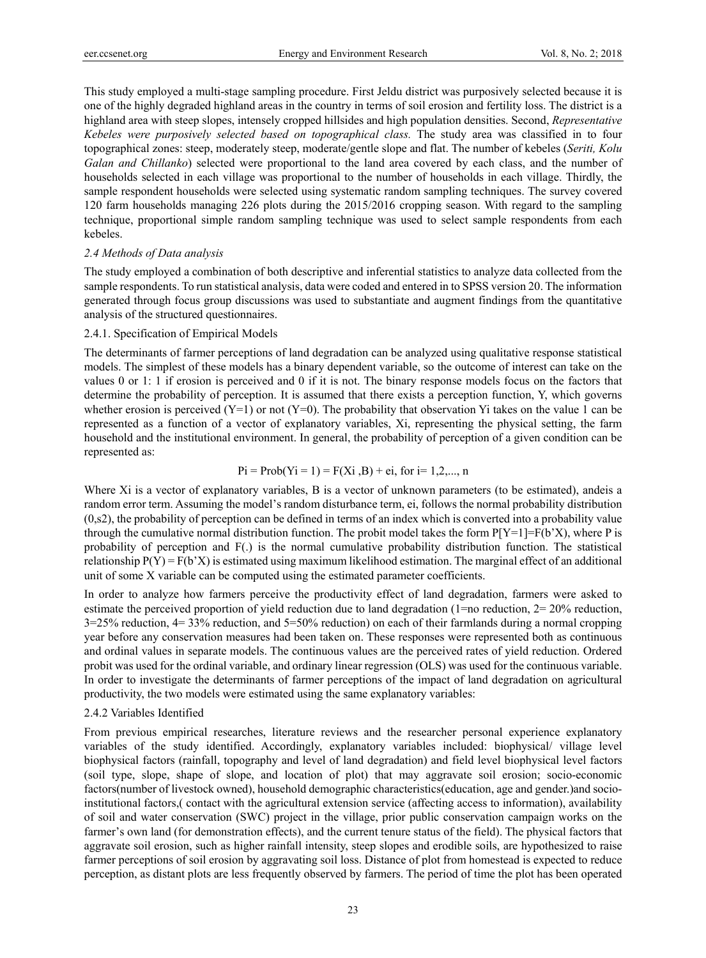This study employed a multi-stage sampling procedure. First Jeldu district was purposively selected because it is one of the highly degraded highland areas in the country in terms of soil erosion and fertility loss. The district is a highland area with steep slopes, intensely cropped hillsides and high population densities. Second, *Representative Kebeles were purposively selected based on topographical class.* The study area was classified in to four topographical zones: steep, moderately steep, moderate/gentle slope and flat. The number of kebeles (*Seriti, Kolu Galan and Chillanko*) selected were proportional to the land area covered by each class, and the number of households selected in each village was proportional to the number of households in each village. Thirdly, the sample respondent households were selected using systematic random sampling techniques. The survey covered 120 farm households managing 226 plots during the 2015/2016 cropping season. With regard to the sampling technique, proportional simple random sampling technique was used to select sample respondents from each kebeles.

## *2.4 Methods of Data analysis*

The study employed a combination of both descriptive and inferential statistics to analyze data collected from the sample respondents. To run statistical analysis, data were coded and entered in to SPSS version 20. The information generated through focus group discussions was used to substantiate and augment findings from the quantitative analysis of the structured questionnaires.

#### 2.4.1. Specification of Empirical Models

The determinants of farmer perceptions of land degradation can be analyzed using qualitative response statistical models. The simplest of these models has a binary dependent variable, so the outcome of interest can take on the values 0 or 1: 1 if erosion is perceived and 0 if it is not. The binary response models focus on the factors that determine the probability of perception. It is assumed that there exists a perception function, Y, which governs whether erosion is perceived  $(Y=1)$  or not  $(Y=0)$ . The probability that observation Yi takes on the value 1 can be represented as a function of a vector of explanatory variables, Xi, representing the physical setting, the farm household and the institutional environment. In general, the probability of perception of a given condition can be represented as:

$$
Pi = Prob(Yi = 1) = F(Xi, B) + ei
$$
, for  $i = 1, 2, ..., n$ 

Where Xi is a vector of explanatory variables, B is a vector of unknown parameters (to be estimated), andeis a random error term. Assuming the model's random disturbance term, ei, follows the normal probability distribution (0,s2), the probability of perception can be defined in terms of an index which is converted into a probability value through the cumulative normal distribution function. The probit model takes the form  $P[Y=1]=F(b'X)$ , where P is probability of perception and F(.) is the normal cumulative probability distribution function. The statistical relationship  $P(Y) = F(b^*X)$  is estimated using maximum likelihood estimation. The marginal effect of an additional unit of some X variable can be computed using the estimated parameter coefficients.

In order to analyze how farmers perceive the productivity effect of land degradation, farmers were asked to estimate the perceived proportion of yield reduction due to land degradation (1=no reduction, 2= 20% reduction,  $3=25\%$  reduction,  $4=33\%$  reduction, and  $5=50\%$  reduction) on each of their farmlands during a normal cropping year before any conservation measures had been taken on. These responses were represented both as continuous and ordinal values in separate models. The continuous values are the perceived rates of yield reduction. Ordered probit was used for the ordinal variable, and ordinary linear regression (OLS) was used for the continuous variable. In order to investigate the determinants of farmer perceptions of the impact of land degradation on agricultural productivity, the two models were estimated using the same explanatory variables:

## 2.4.2 Variables Identified

From previous empirical researches, literature reviews and the researcher personal experience explanatory variables of the study identified. Accordingly, explanatory variables included: biophysical/ village level biophysical factors (rainfall, topography and level of land degradation) and field level biophysical level factors (soil type, slope, shape of slope, and location of plot) that may aggravate soil erosion; socio-economic factors(number of livestock owned), household demographic characteristics(education, age and gender.)and socioinstitutional factors,( contact with the agricultural extension service (affecting access to information), availability of soil and water conservation (SWC) project in the village, prior public conservation campaign works on the farmer's own land (for demonstration effects), and the current tenure status of the field). The physical factors that aggravate soil erosion, such as higher rainfall intensity, steep slopes and erodible soils, are hypothesized to raise farmer perceptions of soil erosion by aggravating soil loss. Distance of plot from homestead is expected to reduce perception, as distant plots are less frequently observed by farmers. The period of time the plot has been operated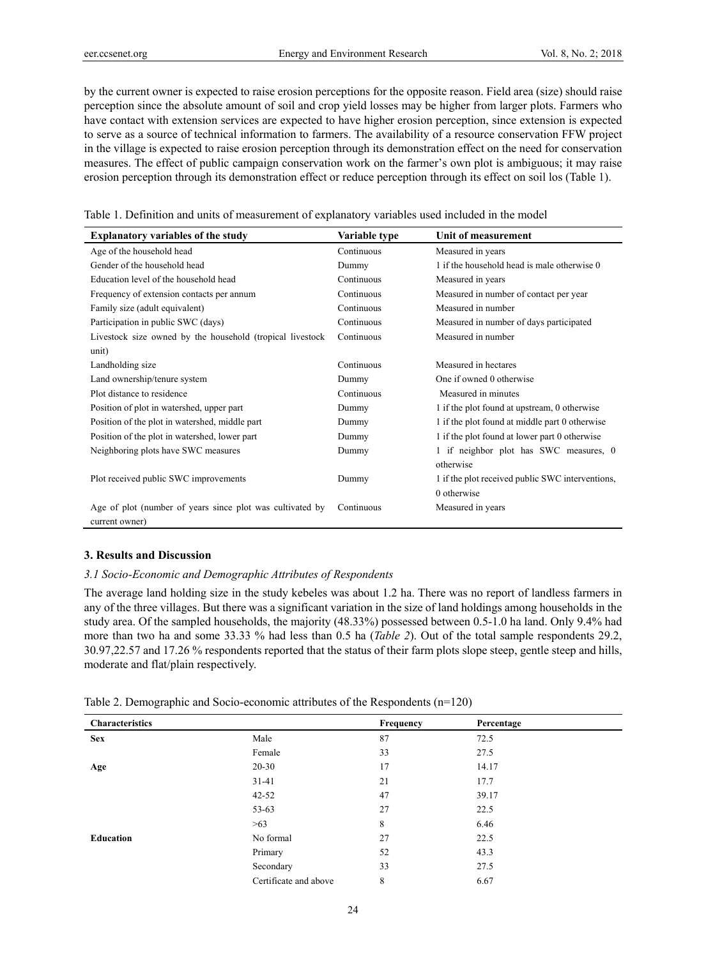by the current owner is expected to raise erosion perceptions for the opposite reason. Field area (size) should raise perception since the absolute amount of soil and crop yield losses may be higher from larger plots. Farmers who have contact with extension services are expected to have higher erosion perception, since extension is expected to serve as a source of technical information to farmers. The availability of a resource conservation FFW project in the village is expected to raise erosion perception through its demonstration effect on the need for conservation measures. The effect of public campaign conservation work on the farmer's own plot is ambiguous; it may raise erosion perception through its demonstration effect or reduce perception through its effect on soil los (Table 1).

| <b>Explanatory variables of the study</b>                 | Variable type | Unit of measurement                              |
|-----------------------------------------------------------|---------------|--------------------------------------------------|
| Age of the household head                                 | Continuous    | Measured in years                                |
| Gender of the household head                              | Dummy         | 1 if the household head is male otherwise 0      |
| Education level of the household head                     | Continuous    | Measured in years                                |
| Frequency of extension contacts per annum                 | Continuous    | Measured in number of contact per year           |
| Family size (adult equivalent)                            | Continuous    | Measured in number                               |
| Participation in public SWC (days)                        | Continuous    | Measured in number of days participated          |
| Livestock size owned by the household (tropical livestock | Continuous    | Measured in number                               |
| unit)                                                     |               |                                                  |
| Landholding size                                          | Continuous    | Measured in hectares                             |
| Land ownership/tenure system                              | Dummy         | One if owned 0 otherwise                         |
| Plot distance to residence                                | Continuous    | Measured in minutes                              |
| Position of plot in watershed, upper part                 | Dummy         | 1 if the plot found at upstream, 0 otherwise     |
| Position of the plot in watershed, middle part            | Dummy         | 1 if the plot found at middle part 0 otherwise   |
| Position of the plot in watershed, lower part             | Dummy         | 1 if the plot found at lower part 0 otherwise    |
| Neighboring plots have SWC measures                       | Dummy         | 1 if neighbor plot has SWC measures, 0           |
|                                                           |               | otherwise                                        |
| Plot received public SWC improvements                     | Dummy         | 1 if the plot received public SWC interventions, |
|                                                           |               | 0 otherwise                                      |
| Age of plot (number of years since plot was cultivated by | Continuous    | Measured in years                                |
| current owner)                                            |               |                                                  |

Table 1. Definition and units of measurement of explanatory variables used included in the model

#### **3. Results and Discussion**

#### *3.1 Socio-Economic and Demographic Attributes of Respondents*

The average land holding size in the study kebeles was about 1.2 ha. There was no report of landless farmers in any of the three villages. But there was a significant variation in the size of land holdings among households in the study area. Of the sampled households, the majority (48.33%) possessed between 0.5-1.0 ha land. Only 9.4% had more than two ha and some 33.33 % had less than 0.5 ha (*Table 2*). Out of the total sample respondents 29.2, 30.97,22.57 and 17.26 % respondents reported that the status of their farm plots slope steep, gentle steep and hills, moderate and flat/plain respectively.

| Table 2. Demographic and Socio-economic attributes of the Respondents $(n=120)$ |  |  |  |
|---------------------------------------------------------------------------------|--|--|--|
|                                                                                 |  |  |  |

| <b>Characteristics</b> |                       | <b>Frequency</b> | Percentage |  |
|------------------------|-----------------------|------------------|------------|--|
| <b>Sex</b>             | Male                  | 87               | 72.5       |  |
|                        | Female                | 33               | 27.5       |  |
| Age                    | $20 - 30$             | 17               | 14.17      |  |
|                        | $31 - 41$             | 21               | 17.7       |  |
|                        | $42 - 52$             | 47               | 39.17      |  |
|                        | 53-63                 | 27               | 22.5       |  |
|                        | >63                   | 8                | 6.46       |  |
| <b>Education</b>       | No formal             | 27               | 22.5       |  |
|                        | Primary               | 52               | 43.3       |  |
|                        | Secondary             | 33               | 27.5       |  |
|                        | Certificate and above | 8                | 6.67       |  |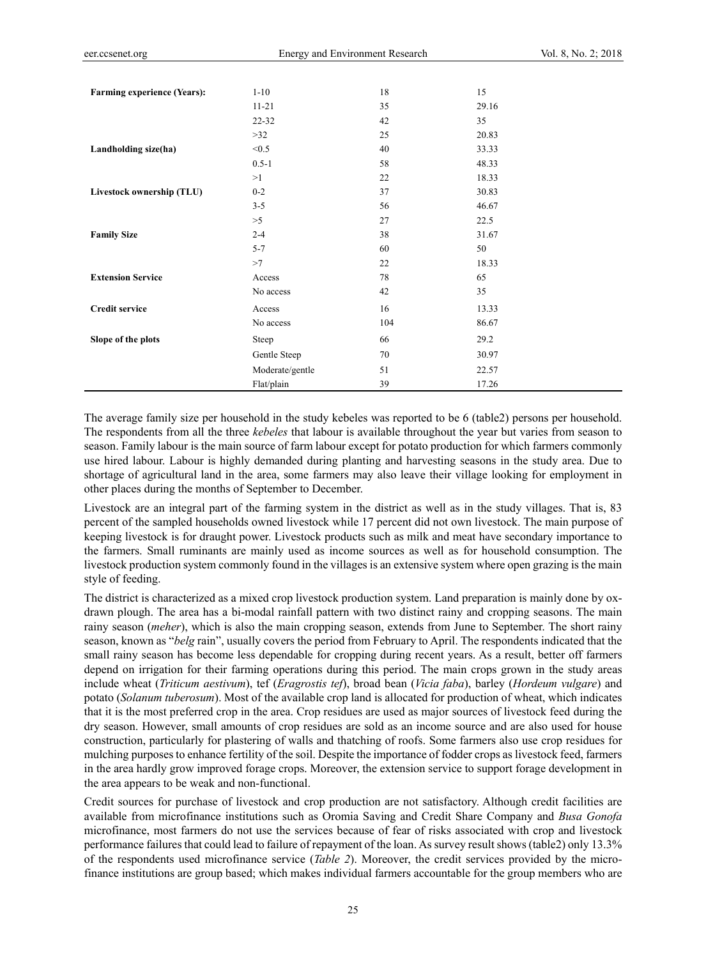| Farming experience (Years): | $1 - 10$        | 18  | 15    |
|-----------------------------|-----------------|-----|-------|
|                             | $11 - 21$       | 35  | 29.16 |
|                             | $22 - 32$       | 42  | 35    |
|                             | >32             | 25  | 20.83 |
| Landholding size(ha)        | < 0.5           | 40  | 33.33 |
|                             | $0.5 - 1$       | 58  | 48.33 |
|                             | >1              | 22  | 18.33 |
| Livestock ownership (TLU)   | $0 - 2$         | 37  | 30.83 |
|                             | $3 - 5$         | 56  | 46.67 |
|                             | >5              | 27  | 22.5  |
| <b>Family Size</b>          | $2 - 4$         | 38  | 31.67 |
|                             | $5 - 7$         | 60  | 50    |
|                             | >7              | 22  | 18.33 |
| <b>Extension Service</b>    | Access          | 78  | 65    |
|                             | No access       | 42  | 35    |
| <b>Credit service</b>       | Access          | 16  | 13.33 |
|                             | No access       | 104 | 86.67 |
| Slope of the plots          | Steep           | 66  | 29.2  |
|                             | Gentle Steep    | 70  | 30.97 |
|                             | Moderate/gentle | 51  | 22.57 |
|                             | Flat/plain      | 39  | 17.26 |

The average family size per household in the study kebeles was reported to be 6 (table2) persons per household. The respondents from all the three *kebeles* that labour is available throughout the year but varies from season to season. Family labour is the main source of farm labour except for potato production for which farmers commonly use hired labour. Labour is highly demanded during planting and harvesting seasons in the study area. Due to shortage of agricultural land in the area, some farmers may also leave their village looking for employment in other places during the months of September to December.

Livestock are an integral part of the farming system in the district as well as in the study villages. That is, 83 percent of the sampled households owned livestock while 17 percent did not own livestock. The main purpose of keeping livestock is for draught power. Livestock products such as milk and meat have secondary importance to the farmers. Small ruminants are mainly used as income sources as well as for household consumption. The livestock production system commonly found in the villages is an extensive system where open grazing is the main style of feeding.

The district is characterized as a mixed crop livestock production system. Land preparation is mainly done by oxdrawn plough. The area has a bi-modal rainfall pattern with two distinct rainy and cropping seasons. The main rainy season (*meher*), which is also the main cropping season, extends from June to September. The short rainy season, known as "*belg* rain", usually covers the period from February to April. The respondents indicated that the small rainy season has become less dependable for cropping during recent years. As a result, better off farmers depend on irrigation for their farming operations during this period. The main crops grown in the study areas include wheat (*Triticum aestivum*), tef (*Eragrostis tef*), broad bean (*Vicia faba*), barley (*Hordeum vulgare*) and potato (*Solanum tuberosum*). Most of the available crop land is allocated for production of wheat, which indicates that it is the most preferred crop in the area. Crop residues are used as major sources of livestock feed during the dry season. However, small amounts of crop residues are sold as an income source and are also used for house construction, particularly for plastering of walls and thatching of roofs. Some farmers also use crop residues for mulching purposes to enhance fertility of the soil. Despite the importance of fodder crops as livestock feed, farmers in the area hardly grow improved forage crops. Moreover, the extension service to support forage development in the area appears to be weak and non-functional.

Credit sources for purchase of livestock and crop production are not satisfactory. Although credit facilities are available from microfinance institutions such as Oromia Saving and Credit Share Company and *Busa Gonofa*  microfinance, most farmers do not use the services because of fear of risks associated with crop and livestock performance failures that could lead to failure of repayment of the loan. As survey result shows (table2) only 13.3% of the respondents used microfinance service (*Table 2*). Moreover, the credit services provided by the microfinance institutions are group based; which makes individual farmers accountable for the group members who are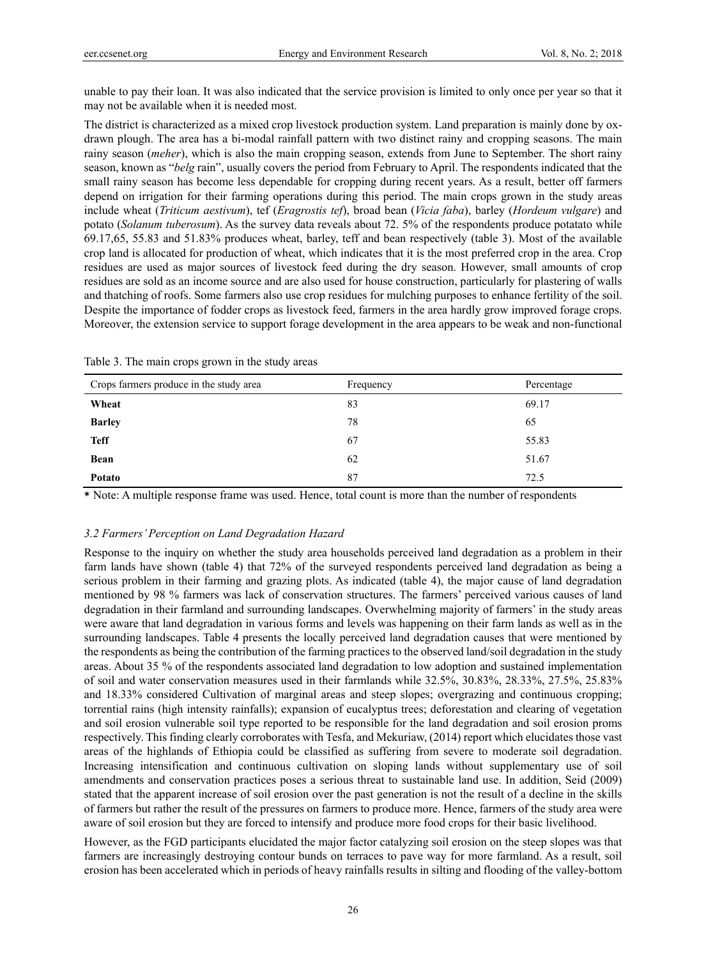unable to pay their loan. It was also indicated that the service provision is limited to only once per year so that it may not be available when it is needed most.

The district is characterized as a mixed crop livestock production system. Land preparation is mainly done by oxdrawn plough. The area has a bi-modal rainfall pattern with two distinct rainy and cropping seasons. The main rainy season (*meher*), which is also the main cropping season, extends from June to September. The short rainy season, known as "*belg* rain", usually covers the period from February to April. The respondents indicated that the small rainy season has become less dependable for cropping during recent years. As a result, better off farmers depend on irrigation for their farming operations during this period. The main crops grown in the study areas include wheat (*Triticum aestivum*), tef (*Eragrostis tef*), broad bean (*Vicia faba*), barley (*Hordeum vulgare*) and potato (*Solanum tuberosum*). As the survey data reveals about 72. 5% of the respondents produce potatato while 69.17,65, 55.83 and 51.83% produces wheat, barley, teff and bean respectively (table 3). Most of the available crop land is allocated for production of wheat, which indicates that it is the most preferred crop in the area. Crop residues are used as major sources of livestock feed during the dry season. However, small amounts of crop residues are sold as an income source and are also used for house construction, particularly for plastering of walls and thatching of roofs. Some farmers also use crop residues for mulching purposes to enhance fertility of the soil. Despite the importance of fodder crops as livestock feed, farmers in the area hardly grow improved forage crops. Moreover, the extension service to support forage development in the area appears to be weak and non-functional

| Crops farmers produce in the study area | Frequency | Percentage |
|-----------------------------------------|-----------|------------|
| Wheat                                   | 83        | 69.17      |
| <b>Barley</b>                           | 78        | 65         |
| <b>Teff</b>                             | 67        | 55.83      |
| Bean                                    | 62        | 51.67      |
| Potato                                  | 87        | 72.5       |

Table 3. The main crops grown in the study areas

**\*** Note: A multiple response frame was used. Hence, total count is more than the number of respondents

#### *3.2 Farmers' Perception on Land Degradation Hazard*

Response to the inquiry on whether the study area households perceived land degradation as a problem in their farm lands have shown (table 4) that 72% of the surveyed respondents perceived land degradation as being a serious problem in their farming and grazing plots. As indicated (table 4), the major cause of land degradation mentioned by 98 % farmers was lack of conservation structures. The farmers' perceived various causes of land degradation in their farmland and surrounding landscapes. Overwhelming majority of farmers' in the study areas were aware that land degradation in various forms and levels was happening on their farm lands as well as in the surrounding landscapes. Table 4 presents the locally perceived land degradation causes that were mentioned by the respondents as being the contribution of the farming practices to the observed land/soil degradation in the study areas. About 35 % of the respondents associated land degradation to low adoption and sustained implementation of soil and water conservation measures used in their farmlands while 32.5%, 30.83%, 28.33%, 27.5%, 25.83% and 18.33% considered Cultivation of marginal areas and steep slopes; overgrazing and continuous cropping; torrential rains (high intensity rainfalls); expansion of eucalyptus trees; deforestation and clearing of vegetation and soil erosion vulnerable soil type reported to be responsible for the land degradation and soil erosion proms respectively. This finding clearly corroborates with Tesfa, and Mekuriaw, (2014) report which elucidates those vast areas of the highlands of Ethiopia could be classified as suffering from severe to moderate soil degradation. Increasing intensification and continuous cultivation on sloping lands without supplementary use of soil amendments and conservation practices poses a serious threat to sustainable land use. In addition, Seid (2009) stated that the apparent increase of soil erosion over the past generation is not the result of a decline in the skills of farmers but rather the result of the pressures on farmers to produce more. Hence, farmers of the study area were aware of soil erosion but they are forced to intensify and produce more food crops for their basic livelihood.

However, as the FGD participants elucidated the major factor catalyzing soil erosion on the steep slopes was that farmers are increasingly destroying contour bunds on terraces to pave way for more farmland. As a result, soil erosion has been accelerated which in periods of heavy rainfalls results in silting and flooding of the valley-bottom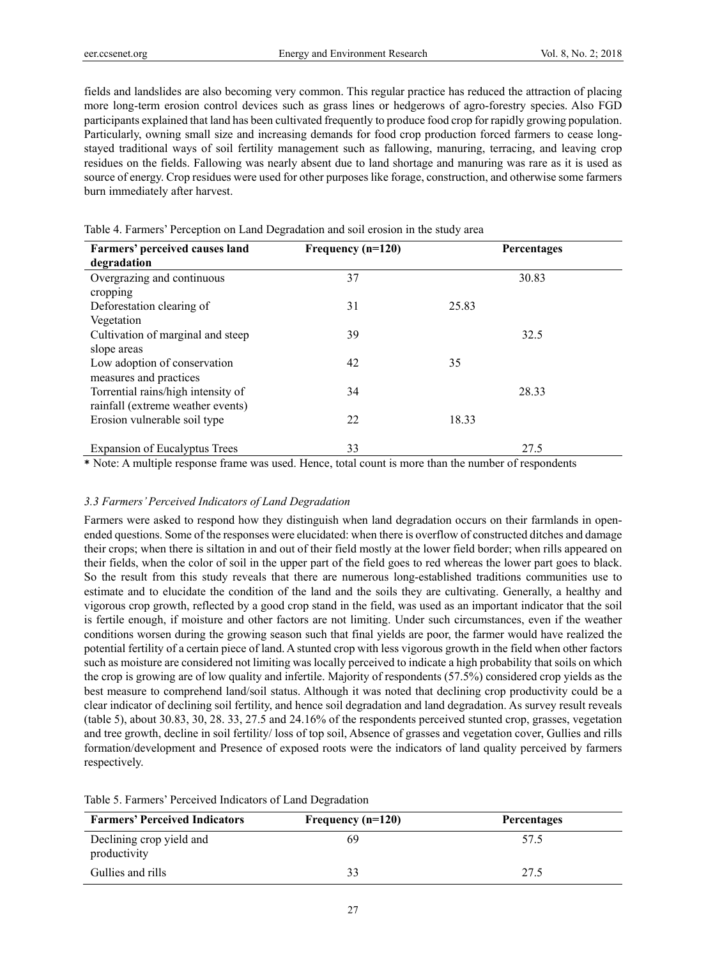fields and landslides are also becoming very common. This regular practice has reduced the attraction of placing more long-term erosion control devices such as grass lines or hedgerows of agro-forestry species. Also FGD participants explained that land has been cultivated frequently to produce food crop for rapidly growing population. Particularly, owning small size and increasing demands for food crop production forced farmers to cease longstayed traditional ways of soil fertility management such as fallowing, manuring, terracing, and leaving crop residues on the fields. Fallowing was nearly absent due to land shortage and manuring was rare as it is used as source of energy. Crop residues were used for other purposes like forage, construction, and otherwise some farmers burn immediately after harvest.

| Farmers' perceived causes land       | Frequency $(n=120)$ | <b>Percentages</b> |  |
|--------------------------------------|---------------------|--------------------|--|
| degradation                          |                     |                    |  |
| Overgrazing and continuous           | 37                  | 30.83              |  |
| cropping                             |                     |                    |  |
| Deforestation clearing of            | 31                  | 25.83              |  |
| Vegetation                           |                     |                    |  |
| Cultivation of marginal and steep    | 39                  | 32.5               |  |
| slope areas                          |                     |                    |  |
| Low adoption of conservation         | 42                  | 35                 |  |
| measures and practices               |                     |                    |  |
| Torrential rains/high intensity of   | 34                  | 28.33              |  |
| rainfall (extreme weather events)    |                     |                    |  |
| Erosion vulnerable soil type         | 22                  | 18.33              |  |
|                                      |                     |                    |  |
| <b>Expansion of Eucalyptus Trees</b> | 33                  | 27.5               |  |

| Table 4. Farmers' Perception on Land Degradation and soil erosion in the study area |  |  |
|-------------------------------------------------------------------------------------|--|--|

**\*** Note: A multiple response frame was used. Hence, total count is more than the number of respondents

## *3.3 Farmers' Perceived Indicators of Land Degradation*

Farmers were asked to respond how they distinguish when land degradation occurs on their farmlands in openended questions. Some of the responses were elucidated: when there is overflow of constructed ditches and damage their crops; when there is siltation in and out of their field mostly at the lower field border; when rills appeared on their fields, when the color of soil in the upper part of the field goes to red whereas the lower part goes to black. So the result from this study reveals that there are numerous long-established traditions communities use to estimate and to elucidate the condition of the land and the soils they are cultivating. Generally, a healthy and vigorous crop growth, reflected by a good crop stand in the field, was used as an important indicator that the soil is fertile enough, if moisture and other factors are not limiting. Under such circumstances, even if the weather conditions worsen during the growing season such that final yields are poor, the farmer would have realized the potential fertility of a certain piece of land. A stunted crop with less vigorous growth in the field when other factors such as moisture are considered not limiting was locally perceived to indicate a high probability that soils on which the crop is growing are of low quality and infertile. Majority of respondents (57.5%) considered crop yields as the best measure to comprehend land/soil status. Although it was noted that declining crop productivity could be a clear indicator of declining soil fertility, and hence soil degradation and land degradation. As survey result reveals (table 5), about 30.83, 30, 28. 33, 27.5 and 24.16% of the respondents perceived stunted crop, grasses, vegetation and tree growth, decline in soil fertility/ loss of top soil, Absence of grasses and vegetation cover, Gullies and rills formation/development and Presence of exposed roots were the indicators of land quality perceived by farmers respectively.

| <b>Farmers' Perceived Indicators</b>     | Frequency $(n=120)$ | <b>Percentages</b> |
|------------------------------------------|---------------------|--------------------|
| Declining crop yield and<br>productivity | 69                  | 57.5               |
| Gullies and rills                        | 33                  | 27.5               |

Table 5. Farmers' Perceived Indicators of Land Degradation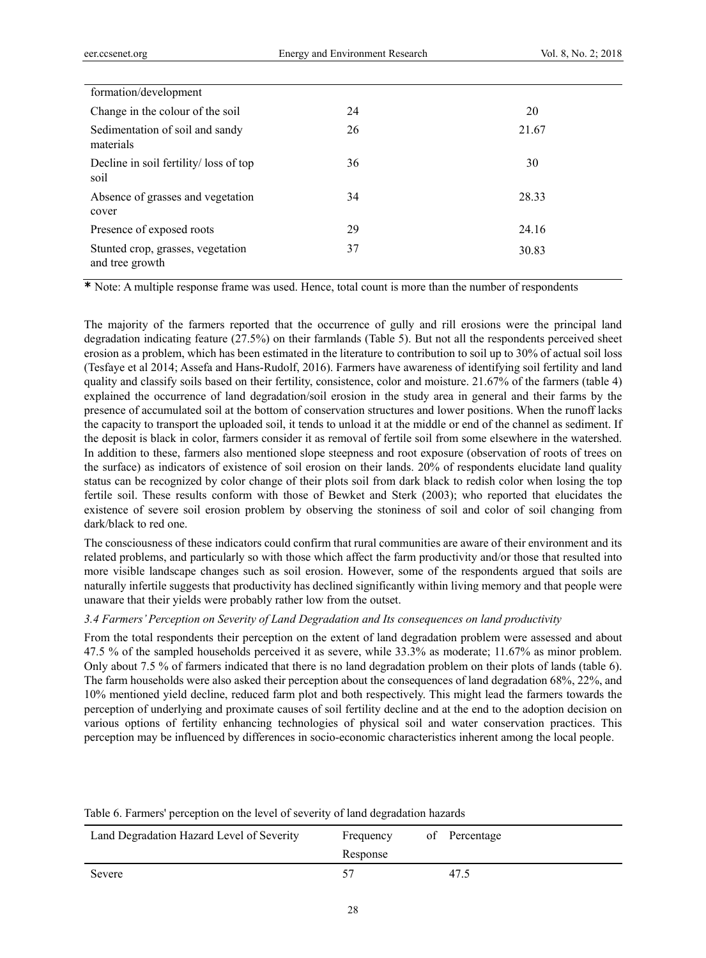| formation/development                                |    |       |
|------------------------------------------------------|----|-------|
| Change in the colour of the soil                     | 24 | 20    |
| Sedimentation of soil and sandy<br>materials         | 26 | 21.67 |
| Decline in soil fertility/ loss of top<br>soil       | 36 | 30    |
| Absence of grasses and vegetation<br>cover           | 34 | 28.33 |
| Presence of exposed roots                            | 29 | 24.16 |
| Stunted crop, grasses, vegetation<br>and tree growth | 37 | 30.83 |

**\*** Note: A multiple response frame was used. Hence, total count is more than the number of respondents

The majority of the farmers reported that the occurrence of gully and rill erosions were the principal land degradation indicating feature (27.5%) on their farmlands (Table 5). But not all the respondents perceived sheet erosion as a problem, which has been estimated in the literature to contribution to soil up to 30% of actual soil loss (Tesfaye et al 2014; Assefa and Hans-Rudolf, 2016). Farmers have awareness of identifying soil fertility and land quality and classify soils based on their fertility, consistence, color and moisture. 21.67% of the farmers (table 4) explained the occurrence of land degradation/soil erosion in the study area in general and their farms by the presence of accumulated soil at the bottom of conservation structures and lower positions. When the runoff lacks the capacity to transport the uploaded soil, it tends to unload it at the middle or end of the channel as sediment. If the deposit is black in color, farmers consider it as removal of fertile soil from some elsewhere in the watershed. In addition to these, farmers also mentioned slope steepness and root exposure (observation of roots of trees on the surface) as indicators of existence of soil erosion on their lands. 20% of respondents elucidate land quality status can be recognized by color change of their plots soil from dark black to redish color when losing the top fertile soil. These results conform with those of Bewket and Sterk (2003); who reported that elucidates the existence of severe soil erosion problem by observing the stoniness of soil and color of soil changing from dark/black to red one.

The consciousness of these indicators could confirm that rural communities are aware of their environment and its related problems, and particularly so with those which affect the farm productivity and/or those that resulted into more visible landscape changes such as soil erosion. However, some of the respondents argued that soils are naturally infertile suggests that productivity has declined significantly within living memory and that people were unaware that their yields were probably rather low from the outset.

## *3.4 Farmers' Perception on Severity of Land Degradation and Its consequences on land productivity*

From the total respondents their perception on the extent of land degradation problem were assessed and about 47.5 % of the sampled households perceived it as severe, while 33.3% as moderate; 11.67% as minor problem. Only about 7.5 % of farmers indicated that there is no land degradation problem on their plots of lands (table 6). The farm households were also asked their perception about the consequences of land degradation 68%, 22%, and 10% mentioned yield decline, reduced farm plot and both respectively. This might lead the farmers towards the perception of underlying and proximate causes of soil fertility decline and at the end to the adoption decision on various options of fertility enhancing technologies of physical soil and water conservation practices. This perception may be influenced by differences in socio-economic characteristics inherent among the local people.

| Land Degradation Hazard Level of Severity | Frequency | of Percentage |
|-------------------------------------------|-----------|---------------|
|                                           | Response  |               |
| Severe                                    |           | 47.5          |

Table 6. Farmers' perception on the level of severity of land degradation hazards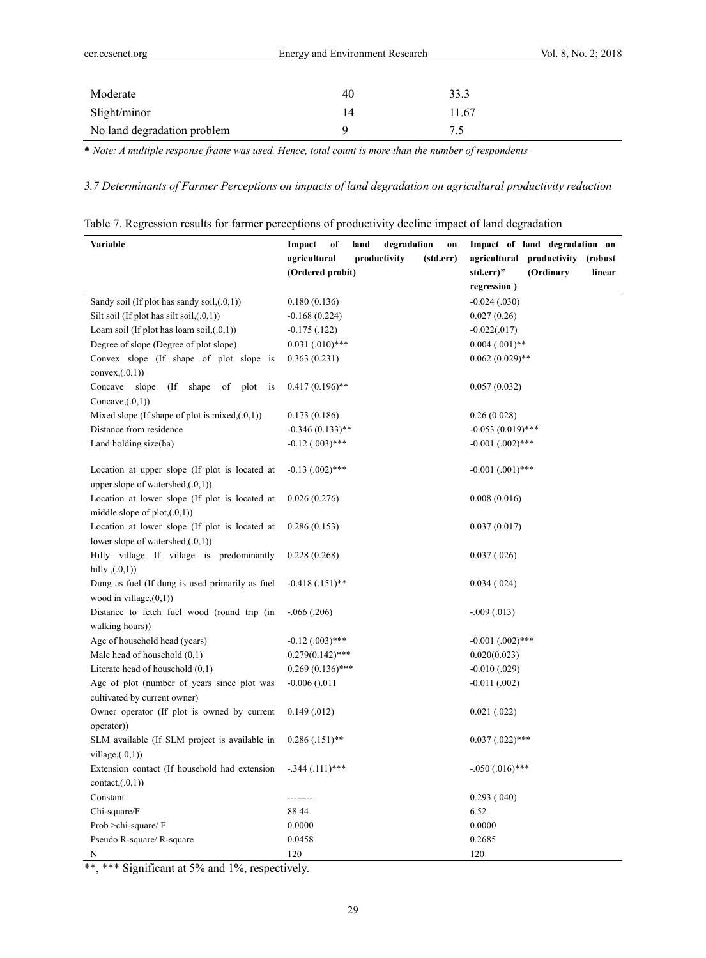| eer.ccsenet.org             |    | <b>Energy and Environment Research</b> |  |
|-----------------------------|----|----------------------------------------|--|
|                             |    |                                        |  |
| Moderate                    | 40 | 33.3                                   |  |
| Slight/minor                | 14 | 11.67                                  |  |
| No land degradation problem | Q  | 7.5                                    |  |

**\*** *Note: A multiple response frame was used. Hence, total count is more than the number of respondents* 

*3.7 Determinants of Farmer Perceptions on impacts of land degradation on agricultural productivity reduction* 

|  |  |  |  | Table 7. Regression results for farmer perceptions of productivity decline impact of land degradation |  |
|--|--|--|--|-------------------------------------------------------------------------------------------------------|--|
|  |  |  |  |                                                                                                       |  |

| Variable                                                       | Impact<br>degradation<br>of<br>land<br>on | Impact of land degradation on     |  |  |
|----------------------------------------------------------------|-------------------------------------------|-----------------------------------|--|--|
|                                                                | agricultural<br>productivity<br>(std.err) | agricultural productivity (robust |  |  |
|                                                                | (Ordered probit)                          | (Ordinary<br>std.err)"<br>linear  |  |  |
|                                                                |                                           | regression)                       |  |  |
| Sandy soil (If plot has sandy soil, $(.0,1)$ )                 | 0.180(0.136)                              | $-0.024$ $(.030)$                 |  |  |
| Silt soil (If plot has silt soil, $(.0,1)$ )                   | $-0.168(0.224)$                           | 0.027(0.26)                       |  |  |
| Loam soil (If plot has loam soil, $(.0,1)$ )                   | $-0.175(.122)$                            | $-0.022(.017)$                    |  |  |
| Degree of slope (Degree of plot slope)                         | $0.031(0.010)$ ***                        | $0.004$ $(.001)$ **               |  |  |
| Convex slope (If shape of plot slope is                        | 0.363(0.231)                              | $0.062(0.029)$ **                 |  |  |
| convex,(0,1))                                                  |                                           |                                   |  |  |
| Concave slope<br>$($ If<br>shape<br>of<br>plot<br>is           | $0.417(0.196)$ **                         | 0.057(0.032)                      |  |  |
| Concave, $(.0,1)$ )                                            |                                           |                                   |  |  |
| Mixed slope (If shape of plot is mixed, $(.0,1)$ )             | 0.173(0.186)                              | 0.26(0.028)                       |  |  |
| Distance from residence                                        | $-0.346(0.133)$ **                        | $-0.053(0.019)$ ***               |  |  |
| Land holding size(ha)                                          | $-0.12$ $(.003)$ ***                      | $-0.001$ $(.002)$ ***             |  |  |
|                                                                |                                           |                                   |  |  |
| Location at upper slope (If plot is located at                 | $-0.13$ $(.002)$ ***                      | $-0.001$ $(.001)$ ***             |  |  |
| upper slope of watershed, (.0,1))                              |                                           |                                   |  |  |
| Location at lower slope (If plot is located at                 | 0.026(0.276)                              | 0.008(0.016)                      |  |  |
| middle slope of $plot(0,0,1)$                                  |                                           |                                   |  |  |
| Location at lower slope (If plot is located at                 | 0.286(0.153)                              | 0.037(0.017)                      |  |  |
| lower slope of watershed, (.0,1))                              |                                           |                                   |  |  |
| Hilly village If village is predominantly                      | 0.228(0.268)                              | 0.037(0.026)                      |  |  |
| hilly $(0,1)$                                                  |                                           |                                   |  |  |
| Dung as fuel (If dung is used primarily as fuel                | $-0.418(.151)$ **                         | 0.034(0.024)                      |  |  |
| wood in village, $(0,1)$ )                                     |                                           |                                   |  |  |
| Distance to fetch fuel wood (round trip (in                    | $-.066(.206)$                             | $-.009(.013)$                     |  |  |
| walking hours))                                                |                                           |                                   |  |  |
| Age of household head (years)                                  | $-0.12$ (.003)***                         | $-0.001$ $(.002)$ ***             |  |  |
| Male head of household $(0,1)$                                 | $0.279(0.142)$ ***                        | 0.020(0.023)                      |  |  |
| Literate head of household (0,1)                               | $0.269(0.136)$ ***                        | $-0.010(0.029)$                   |  |  |
| Age of plot (number of years since plot was                    | $-0.006$ $( ).011$                        | $-0.011(0.002)$                   |  |  |
| cultivated by current owner)                                   |                                           |                                   |  |  |
| Owner operator (If plot is owned by current                    | 0.149(0.012)                              | 0.021(0.022)                      |  |  |
| operator))                                                     |                                           |                                   |  |  |
| SLM available (If SLM project is available in                  | $0.286(.151)$ **                          | $0.037$ $(.022)$ ***              |  |  |
| village, $(.0,1)$ )                                            |                                           |                                   |  |  |
| Extension contact (If household had extension -. 344 (.111)*** |                                           | $-.050(.016)$ ***                 |  |  |
| contact.(0,1))                                                 |                                           |                                   |  |  |
| Constant                                                       |                                           | 0.293(0.040)                      |  |  |
| Chi-square/F                                                   | 88.44                                     | 6.52                              |  |  |
| Prob > chi-square/ F                                           | 0.0000                                    | 0.0000                            |  |  |
| Pseudo R-square/ R-square                                      | 0.0458                                    | 0.2685                            |  |  |
| N                                                              | 120                                       | 120                               |  |  |

\*\*, \*\*\* Significant at 5% and 1%, respectively.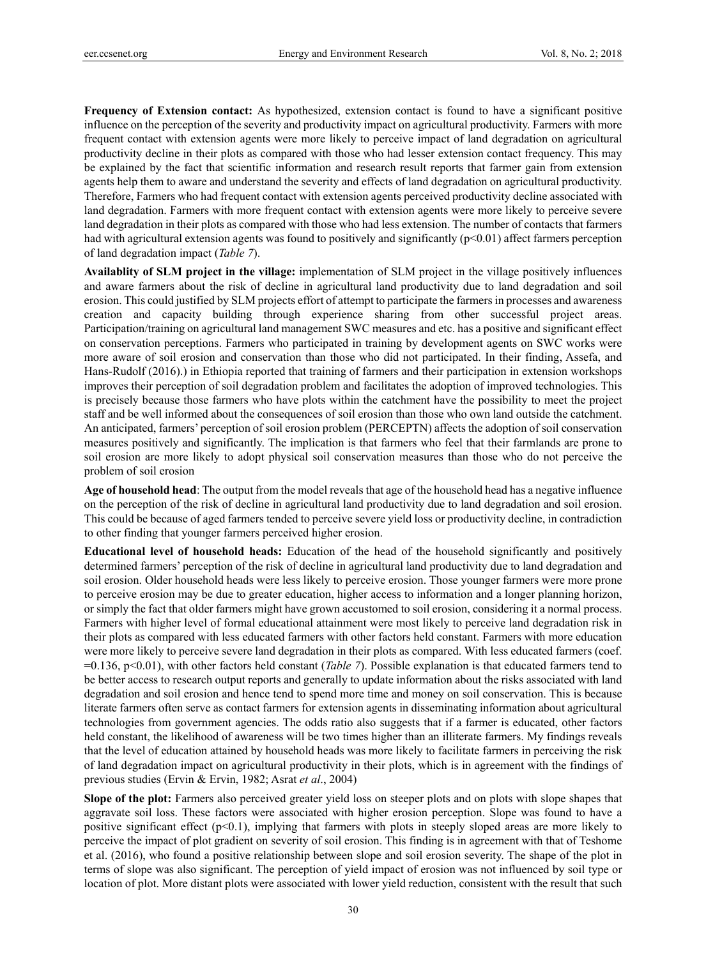**Frequency of Extension contact:** As hypothesized, extension contact is found to have a significant positive influence on the perception of the severity and productivity impact on agricultural productivity. Farmers with more frequent contact with extension agents were more likely to perceive impact of land degradation on agricultural productivity decline in their plots as compared with those who had lesser extension contact frequency. This may be explained by the fact that scientific information and research result reports that farmer gain from extension agents help them to aware and understand the severity and effects of land degradation on agricultural productivity. Therefore, Farmers who had frequent contact with extension agents perceived productivity decline associated with land degradation. Farmers with more frequent contact with extension agents were more likely to perceive severe land degradation in their plots as compared with those who had less extension. The number of contacts that farmers had with agricultural extension agents was found to positively and significantly ( $p<0.01$ ) affect farmers perception of land degradation impact (*Table 7*).

**Availablity of SLM project in the village:** implementation of SLM project in the village positively influences and aware farmers about the risk of decline in agricultural land productivity due to land degradation and soil erosion. This could justified by SLM projects effort of attempt to participate the farmers in processes and awareness creation and capacity building through experience sharing from other successful project areas. Participation/training on agricultural land management SWC measures and etc. has a positive and significant effect on conservation perceptions. Farmers who participated in training by development agents on SWC works were more aware of soil erosion and conservation than those who did not participated. In their finding, Assefa, and Hans-Rudolf (2016).) in Ethiopia reported that training of farmers and their participation in extension workshops improves their perception of soil degradation problem and facilitates the adoption of improved technologies. This is precisely because those farmers who have plots within the catchment have the possibility to meet the project staff and be well informed about the consequences of soil erosion than those who own land outside the catchment. An anticipated, farmers' perception of soil erosion problem (PERCEPTN) affects the adoption of soil conservation measures positively and significantly. The implication is that farmers who feel that their farmlands are prone to soil erosion are more likely to adopt physical soil conservation measures than those who do not perceive the problem of soil erosion

**Age of household head**: The output from the model reveals that age of the household head has a negative influence on the perception of the risk of decline in agricultural land productivity due to land degradation and soil erosion. This could be because of aged farmers tended to perceive severe yield loss or productivity decline, in contradiction to other finding that younger farmers perceived higher erosion.

**Educational level of household heads:** Education of the head of the household significantly and positively determined farmers' perception of the risk of decline in agricultural land productivity due to land degradation and soil erosion. Older household heads were less likely to perceive erosion. Those younger farmers were more prone to perceive erosion may be due to greater education, higher access to information and a longer planning horizon, or simply the fact that older farmers might have grown accustomed to soil erosion, considering it a normal process. Farmers with higher level of formal educational attainment were most likely to perceive land degradation risk in their plots as compared with less educated farmers with other factors held constant. Farmers with more education were more likely to perceive severe land degradation in their plots as compared. With less educated farmers (coef. =0.136, p<0.01), with other factors held constant (*Table 7*). Possible explanation is that educated farmers tend to be better access to research output reports and generally to update information about the risks associated with land degradation and soil erosion and hence tend to spend more time and money on soil conservation. This is because literate farmers often serve as contact farmers for extension agents in disseminating information about agricultural technologies from government agencies. The odds ratio also suggests that if a farmer is educated, other factors held constant, the likelihood of awareness will be two times higher than an illiterate farmers. My findings reveals that the level of education attained by household heads was more likely to facilitate farmers in perceiving the risk of land degradation impact on agricultural productivity in their plots, which is in agreement with the findings of previous studies (Ervin & Ervin, 1982; Asrat *et al*., 2004)

**Slope of the plot:** Farmers also perceived greater yield loss on steeper plots and on plots with slope shapes that aggravate soil loss. These factors were associated with higher erosion perception. Slope was found to have a positive significant effect (p<0.1), implying that farmers with plots in steeply sloped areas are more likely to perceive the impact of plot gradient on severity of soil erosion. This finding is in agreement with that of Teshome et al. (2016), who found a positive relationship between slope and soil erosion severity. The shape of the plot in terms of slope was also significant. The perception of yield impact of erosion was not influenced by soil type or location of plot. More distant plots were associated with lower yield reduction, consistent with the result that such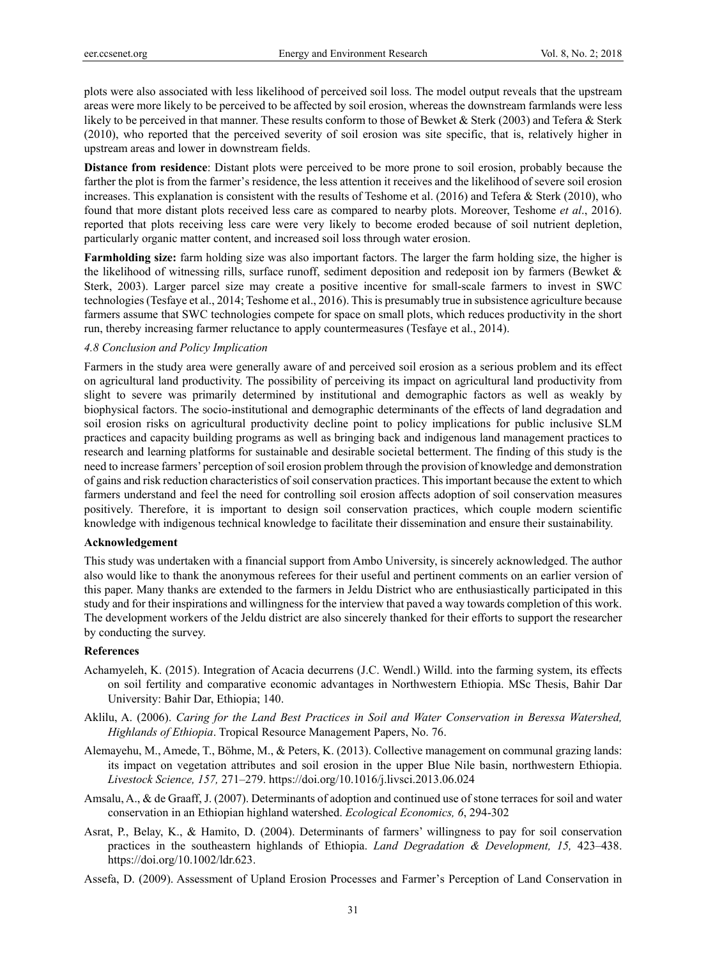plots were also associated with less likelihood of perceived soil loss. The model output reveals that the upstream areas were more likely to be perceived to be affected by soil erosion, whereas the downstream farmlands were less likely to be perceived in that manner. These results conform to those of Bewket & Sterk (2003) and Tefera & Sterk (2010), who reported that the perceived severity of soil erosion was site specific, that is, relatively higher in upstream areas and lower in downstream fields.

**Distance from residence**: Distant plots were perceived to be more prone to soil erosion, probably because the farther the plot is from the farmer's residence, the less attention it receives and the likelihood of severe soil erosion increases. This explanation is consistent with the results of Teshome et al. (2016) and Tefera & Sterk (2010), who found that more distant plots received less care as compared to nearby plots. Moreover, Teshome *et al*., 2016). reported that plots receiving less care were very likely to become eroded because of soil nutrient depletion, particularly organic matter content, and increased soil loss through water erosion.

**Farmholding size:** farm holding size was also important factors. The larger the farm holding size, the higher is the likelihood of witnessing rills, surface runoff, sediment deposition and redeposit ion by farmers (Bewket & Sterk, 2003). Larger parcel size may create a positive incentive for small-scale farmers to invest in SWC technologies (Tesfaye et al., 2014; Teshome et al., 2016). This is presumably true in subsistence agriculture because farmers assume that SWC technologies compete for space on small plots, which reduces productivity in the short run, thereby increasing farmer reluctance to apply countermeasures (Tesfaye et al., 2014).

#### *4.8 Conclusion and Policy Implication*

Farmers in the study area were generally aware of and perceived soil erosion as a serious problem and its effect on agricultural land productivity. The possibility of perceiving its impact on agricultural land productivity from slight to severe was primarily determined by institutional and demographic factors as well as weakly by biophysical factors. The socio-institutional and demographic determinants of the effects of land degradation and soil erosion risks on agricultural productivity decline point to policy implications for public inclusive SLM practices and capacity building programs as well as bringing back and indigenous land management practices to research and learning platforms for sustainable and desirable societal betterment. The finding of this study is the need to increase farmers' perception of soil erosion problem through the provision of knowledge and demonstration of gains and risk reduction characteristics of soil conservation practices. This important because the extent to which farmers understand and feel the need for controlling soil erosion affects adoption of soil conservation measures positively. Therefore, it is important to design soil conservation practices, which couple modern scientific knowledge with indigenous technical knowledge to facilitate their dissemination and ensure their sustainability.

#### **Acknowledgement**

This study was undertaken with a financial support from Ambo University, is sincerely acknowledged. The author also would like to thank the anonymous referees for their useful and pertinent comments on an earlier version of this paper. Many thanks are extended to the farmers in Jeldu District who are enthusiastically participated in this study and for their inspirations and willingness for the interview that paved a way towards completion of this work. The development workers of the Jeldu district are also sincerely thanked for their efforts to support the researcher by conducting the survey.

#### **References**

- Achamyeleh, K. (2015). Integration of Acacia decurrens (J.C. Wendl.) Willd. into the farming system, its effects on soil fertility and comparative economic advantages in Northwestern Ethiopia. MSc Thesis, Bahir Dar University: Bahir Dar, Ethiopia; 140.
- Aklilu, A. (2006). *Caring for the Land Best Practices in Soil and Water Conservation in Beressa Watershed, Highlands of Ethiopia*. Tropical Resource Management Papers, No. 76.
- Alemayehu, M., Amede, T., Böhme, M., & Peters, K. (2013). Collective management on communal grazing lands: its impact on vegetation attributes and soil erosion in the upper Blue Nile basin, northwestern Ethiopia. *Livestock Science, 157,* 271–279. https://doi.org/10.1016/j.livsci.2013.06.024
- Amsalu, A., & de Graaff, J. (2007). Determinants of adoption and continued use of stone terraces for soil and water conservation in an Ethiopian highland watershed. *Ecological Economics, 6*, 294-302
- Asrat, P., Belay, K., & Hamito, D. (2004). Determinants of farmers' willingness to pay for soil conservation practices in the southeastern highlands of Ethiopia. *Land Degradation & Development, 15,* 423–438. https://doi.org/10.1002/ldr.623.
- Assefa, D. (2009). Assessment of Upland Erosion Processes and Farmer's Perception of Land Conservation in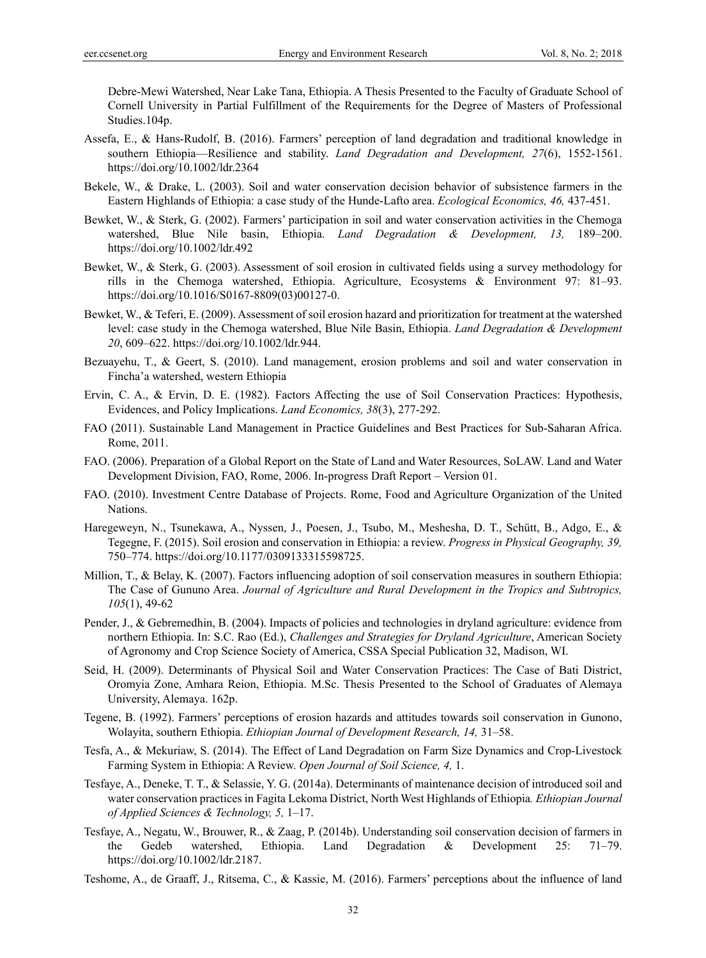Debre-Mewi Watershed, Near Lake Tana, Ethiopia. A Thesis Presented to the Faculty of Graduate School of Cornell University in Partial Fulfillment of the Requirements for the Degree of Masters of Professional Studies.104p.

- Assefa, E., & Hans-Rudolf, B. (2016). Farmers' perception of land degradation and traditional knowledge in southern Ethiopia—Resilience and stability. *Land Degradation and Development, 27*(6), 1552-1561. https://doi.org/10.1002/ldr.2364
- Bekele, W., & Drake, L. (2003). Soil and water conservation decision behavior of subsistence farmers in the Eastern Highlands of Ethiopia: a case study of the Hunde-Lafto area. *Ecological Economics, 46,* 437-451.
- Bewket, W., & Sterk, G. (2002). Farmers' participation in soil and water conservation activities in the Chemoga watershed, Blue Nile basin, Ethiopia. *Land Degradation & Development, 13,* 189–200. https://doi.org/10.1002/ldr.492
- Bewket, W., & Sterk, G. (2003). Assessment of soil erosion in cultivated fields using a survey methodology for rills in the Chemoga watershed, Ethiopia. Agriculture, Ecosystems & Environment 97: 81–93. https://doi.org/10.1016/S0167-8809(03)00127-0.
- Bewket, W., & Teferi, E. (2009). Assessment of soil erosion hazard and prioritization for treatment at the watershed level: case study in the Chemoga watershed, Blue Nile Basin, Ethiopia. *Land Degradation & Development 20*, 609–622. https://doi.org/10.1002/ldr.944.
- Bezuayehu, T., & Geert, S. (2010). Land management, erosion problems and soil and water conservation in Fincha'a watershed, western Ethiopia
- Ervin, C. A., & Ervin, D. E. (1982). Factors Affecting the use of Soil Conservation Practices: Hypothesis, Evidences, and Policy Implications. *Land Economics, 38*(3), 277-292.
- FAO (2011). Sustainable Land Management in Practice Guidelines and Best Practices for Sub-Saharan Africa. Rome, 2011.
- FAO. (2006). Preparation of a Global Report on the State of Land and Water Resources, SoLAW. Land and Water Development Division, FAO, Rome, 2006. In-progress Draft Report – Version 01.
- FAO. (2010). Investment Centre Database of Projects. Rome, Food and Agriculture Organization of the United Nations.
- Haregeweyn, N., Tsunekawa, A., Nyssen, J., Poesen, J., Tsubo, M., Meshesha, D. T., Schütt, B., Adgo, E., & Tegegne, F. (2015). Soil erosion and conservation in Ethiopia: a review. *Progress in Physical Geography, 39,* 750–774. https://doi.org/10.1177/0309133315598725.
- Million, T., & Belay, K. (2007). Factors influencing adoption of soil conservation measures in southern Ethiopia: The Case of Gununo Area. *Journal of Agriculture and Rural Development in the Tropics and Subtropics, 105*(1), 49-62
- Pender, J., & Gebremedhin, B. (2004). Impacts of policies and technologies in dryland agriculture: evidence from northern Ethiopia. In: S.C. Rao (Ed.), *Challenges and Strategies for Dryland Agriculture*, American Society of Agronomy and Crop Science Society of America, CSSA Special Publication 32, Madison, WI.
- Seid, H. (2009). Determinants of Physical Soil and Water Conservation Practices: The Case of Bati District, Oromyia Zone, Amhara Reion, Ethiopia. M.Sc. Thesis Presented to the School of Graduates of Alemaya University, Alemaya. 162p.
- Tegene, B. (1992). Farmers' perceptions of erosion hazards and attitudes towards soil conservation in Gunono, Wolayita, southern Ethiopia. *Ethiopian Journal of Development Research, 14,* 31–58.
- Tesfa, A., & Mekuriaw, S. (2014). The Effect of Land Degradation on Farm Size Dynamics and Crop-Livestock Farming System in Ethiopia: A Review. *Open Journal of Soil Science, 4,* 1.
- Tesfaye, A., Deneke, T. T., & Selassie, Y. G. (2014a). Determinants of maintenance decision of introduced soil and water conservation practices in Fagita Lekoma District, North West Highlands of Ethiopia*. Ethiopian Journal of Applied Sciences & Technology, 5,* 1–17.
- Tesfaye, A., Negatu, W., Brouwer, R., & Zaag, P. (2014b). Understanding soil conservation decision of farmers in the Gedeb watershed, Ethiopia. Land Degradation & Development 25: 71–79. https://doi.org/10.1002/ldr.2187.
- Teshome, A., de Graaff, J., Ritsema, C., & Kassie, M. (2016). Farmers' perceptions about the influence of land